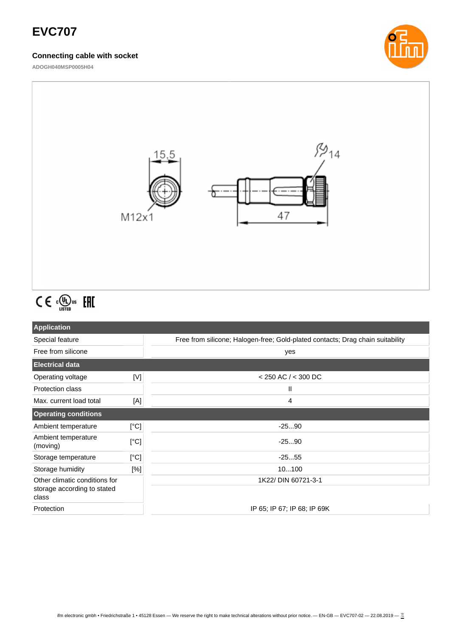## **EVC707**

### **Connecting cable with socket**

**ADOGH040MSP0005H04**





# $C \in \mathbb{C}^{\mathbb{Q}}_{\text{LISTED}}$  FHI

| <b>Application</b>                                                    |      |                                                                                |
|-----------------------------------------------------------------------|------|--------------------------------------------------------------------------------|
| Special feature                                                       |      | Free from silicone; Halogen-free; Gold-plated contacts; Drag chain suitability |
| Free from silicone                                                    |      | yes                                                                            |
| <b>Electrical data</b>                                                |      |                                                                                |
| Operating voltage                                                     | [V]  | $<$ 250 AC / $<$ 300 DC                                                        |
| <b>Protection class</b>                                               |      | Ш                                                                              |
| Max. current load total                                               | [A]  | 4                                                                              |
| <b>Operating conditions</b>                                           |      |                                                                                |
| Ambient temperature                                                   | [°C] | $-2590$                                                                        |
| Ambient temperature<br>(moving)                                       | [°C] | $-2590$                                                                        |
| Storage temperature                                                   | [°C] | $-2555$                                                                        |
| Storage humidity                                                      | [%]  | 10100                                                                          |
| Other climatic conditions for<br>storage according to stated<br>class |      | 1K22/ DIN 60721-3-1                                                            |
| Protection                                                            |      | IP 65; IP 67; IP 68; IP 69K                                                    |